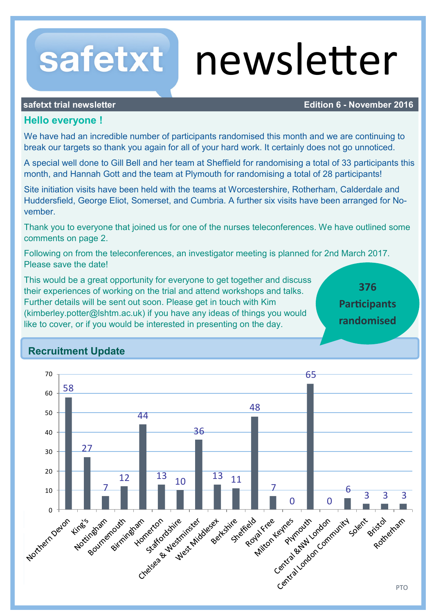# newsletter

safetxt

# **safetxt trial newsletter <b>Edition 6 -** November 2016

# **Hello everyone !**

We have had an incredible number of participants randomised this month and we are continuing to break our targets so thank you again for all of your hard work. It certainly does not go unnoticed.

A special well done to Gill Bell and her team at Sheffield for randomising a total of 33 participants this month, and Hannah Gott and the team at Plymouth for randomising a total of 28 participants!

Site initiation visits have been held with the teams at Worcestershire, Rotherham, Calderdale and Huddersfield, George Eliot, Somerset, and Cumbria. A further six visits have been arranged for November.

Thank you to everyone that joined us for one of the nurses teleconferences. We have outlined some comments on page 2.

Following on from the teleconferences, an investigator meeting is planned for 2nd March 2017. Please save the date!

This would be a great opportunity for everyone to get together and discuss their experiences of working on the trial and attend workshops and talks. Further details will be sent out soon. Please get in touch with Kim (kimberley.potter@lshtm.ac.uk) if you have any ideas of things you would like to cover, or if you would be interested in presenting on the day.

**376 Participants randomised**

# **Recruitment Update**